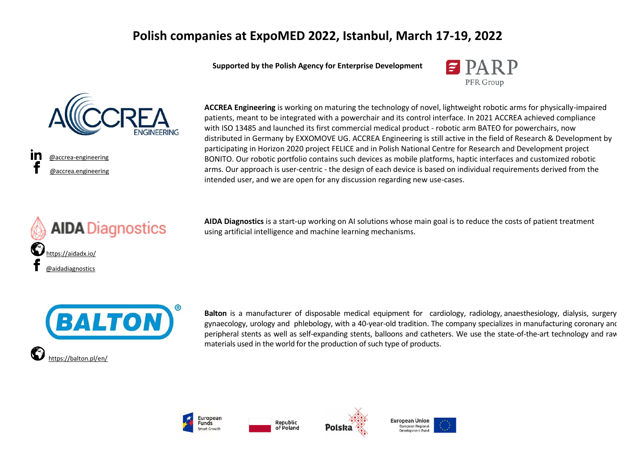### **Polish companies at ExpoMED 2022, Istanbul, March 17-19, 2022**

**Supported by the Polish Agency for Enterprise Development**





 [@accrea-engineering](https://www.linkedin.com/company/accrea-engineering) [@accrea.engineering](https://www.facebook.com/accrea.engineering)





**AIDA Diagnostics** is a start-up working on AI solutions whose main goal is to reduce the costs of patient treatment using artificial intelligence and machine learning mechanisms.



**Balton** is a manufacturer of disposable medical equipment for cardiology, radiology, anaesthesiology, dialysis, surgery, gynaecology, urology and phlebology, with a 40-year-old tradition. The company specializes in manufacturing coronary and peripheral stents as well as self-expanding stents, balloons and catheters. We use the state-of-the-art technology and raw materials used in the world for the production of such type of products.









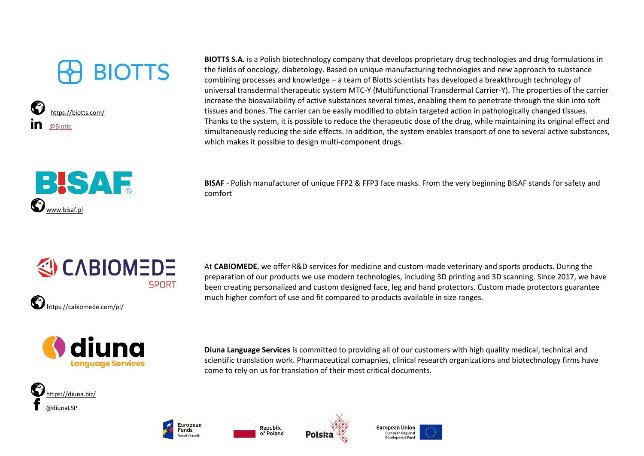# **BIOTTS**





**BIOTTS S.A.** is a Polish biotechnology company that develops proprietary drug technologies and drug formulations in the fields of oncology, diabetology. Based on unique manufacturing technologies and new approach to substance combining processes and knowledge – a team of Biotts scientists has developed a breakthrough technology of universal transdermal therapeutic system MTC-Y (Multifunctional Transdermal Carrier-Y). The properties of the carrier increase the bioavailability of active substances several times, enabling them to penetrate through the skin into soft tissues and bones. The carrier can be easily modified to obtain targeted action in pathologically changed tissues. Thanks to the system, it is possible to reduce the therapeutic dose of the drug, while maintaining its original effect and simultaneously reducing the side effects. In addition, the system enables transport of one to several active substances, which makes it possible to design multi-component drugs.

**BISAF** - Polish manufacturer of unique FFP2 & FFP3 face masks. From the very beginning BISAF stands for safety and comfort



At **CABIOMEDE**, we offer R&D services for medicine and custom-made veterinary and sports products. During the preparation of our products we use modern technologies, including 3D printing and 3D scanning. Since 2017, we have been creating personalized and custom designed face, leg and hand protectors. Custom made protectors guarantee much higher comfort of use and fit compared to products available in size ranges.



**Diuna Language Services** is committed to providing all of our customers with high quality medical, technical and scientific translation work. Pharmaceutical comapnies, clinical research organizations and biotechnology firms have come to rely on us for translation of their most critical documents.









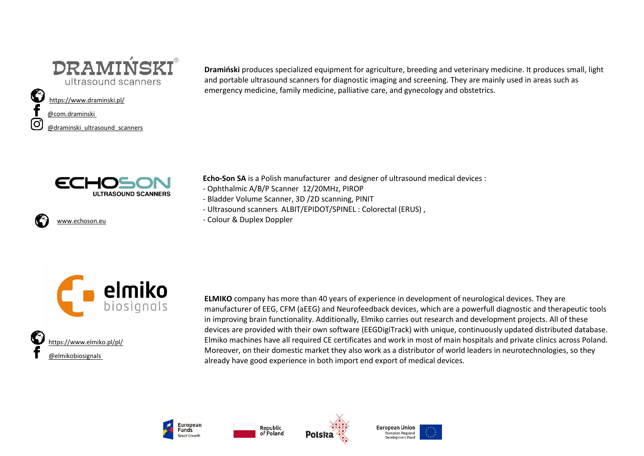

#### <https://www.draminski.pl/>

#### [@com.draminski](https://www.facebook.com/com.draminski/)

Ö

[@draminski\\_ultrasound\\_scanners](https://www.instagram.com/draminski_ultrasound_scanners/)



<www.echoson.eu>

**Dramiński** produces specialized equipment for agriculture, breeding and veterinary medicine. It produces small, light and portable ultrasound scanners for diagnostic imaging and screening. They are mainly used in areas such as emergency medicine, family medicine, palliative care, and gynecology and obstetrics.

**Echo-Son SA** is a Polish manufacturer and designer of ultrasound medical devices :

- Ophthalmic A/B/P Scanner 12/20MHz, PIROP
- Bladder Volume Scanner, 3D /2D scanning, PINIT
- Ultrasound scanners ALBIT/EPIDOT/SPINEL : Colorectal (ERUS) ,
- Colour & Duplex Doppler



 <https://www.elmiko.pl/pl/> [@elmikobiosignals](https://www.facebook.com/elmikobiosignals)

**ELMIKO** company has more than 40 years of experience in development of neurological devices. They are manufacturer of EEG, CFM (aEEG) and Neurofeedback devices, which are a powerfull diagnostic and therapeutic tools in improving brain functionality. Additionally, Elmiko carries out research and development projects. All of these devices are provided with their own software (EEGDigiTrack) with unique, continuously updated distributed database. Elmiko machines have all required CE certificates and work in most of main hospitals and private clinics across Poland. Moreover, on their domestic market they also work as a distributor of world leaders in neurotechnologies, so they already have good experience in both import end export of medical devices.







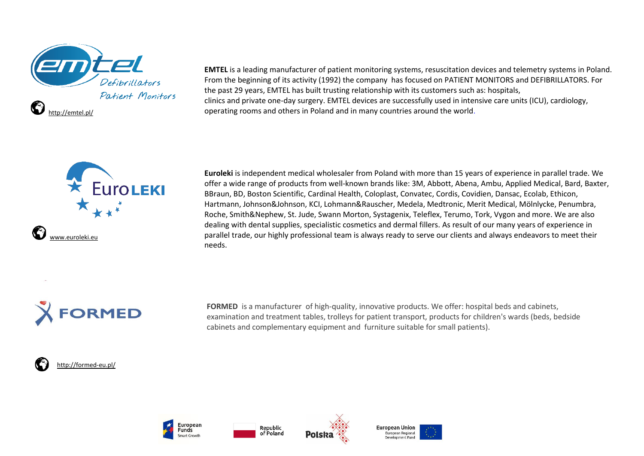

**EMTEL** is a leading manufacturer of patient monitoring systems, resuscitation devices and telemetry systems in Poland. From the beginning of its activity (1992) the company has focused on PATIENT MONITORS and DEFIBRILLATORS. For the past 29 years, EMTEL has built trusting relationship with its customers such as: hospitals, clinics and private one-day surgery. EMTEL devices are successfully used in intensive care units (ICU), cardiology, operating rooms and others in Poland and in many countries around the world.



**Euroleki** is independent medical wholesaler from Poland with more than 15 years of experience in parallel trade. We offer a wide range of products from well-known brands like: 3M, Abbott, Abena, Ambu, Applied Medical, Bard, Baxter, BBraun, BD, Boston Scientific, Cardinal Health, Coloplast, Convatec, Cordis, Covidien, Dansac, Ecolab, Ethicon, Hartmann, Johnson&Johnson, KCI, Lohmann&Rauscher, Medela, Medtronic, Merit Medical, Mölnlycke, Penumbra, Roche, Smith&Nephew, St. Jude, Swann Morton, Systagenix, Teleflex, Terumo, Tork, Vygon and more. We are also dealing with dental supplies, specialistic cosmetics and dermal fillers. As result of our many years of experience in parallel trade, our highly professional team is always ready to serve our clients and always endeavors to meet their needs.



**FORMED** is a manufacturer of high-quality, innovative products. We offer: hospital beds and cabinets, examination and treatment tables, trolleys for patient transport, products for children's wards (beds, bedside cabinets and complementary equipment and furniture suitable for small patients).

#### <http://formed-eu.pl/>







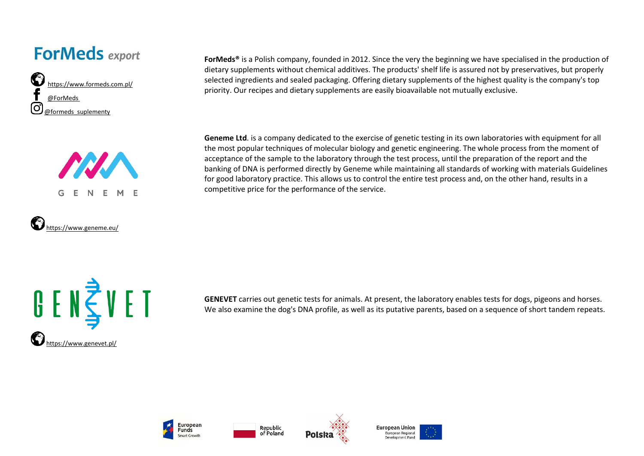### **ForMeds** export







**ForMeds®** is a Polish company, founded in 2012. Since the very the beginning we have specialised in the production of dietary supplements without chemical additives. The products' shelf life is assured not by preservatives, but properly selected ingredients and sealed packaging. Offering dietary supplements of the highest quality is the company's top priority. Our recipes and dietary supplements are easily bioavailable not mutually exclusive.

**Geneme Ltd**. is a company dedicated to the exercise of genetic testing in its own laboratories with equipment for all the most popular techniques of molecular biology and genetic engineering. The whole process from the moment of acceptance of the sample to the laboratory through the test process, until the preparation of the report and the banking of DNA is performed directly by Geneme while maintaining all standards of working with materials Guidelines for good laboratory practice. This allows us to control the entire test process and, on the other hand, results in a competitive price for the performance of the service.



**GENEVET** carries out genetic tests for animals. At present, the laboratory enables tests for dogs, pigeons and horses. We also examine the dog's DNA profile, as well as its putative parents, based on a sequence of short tandem repeats.







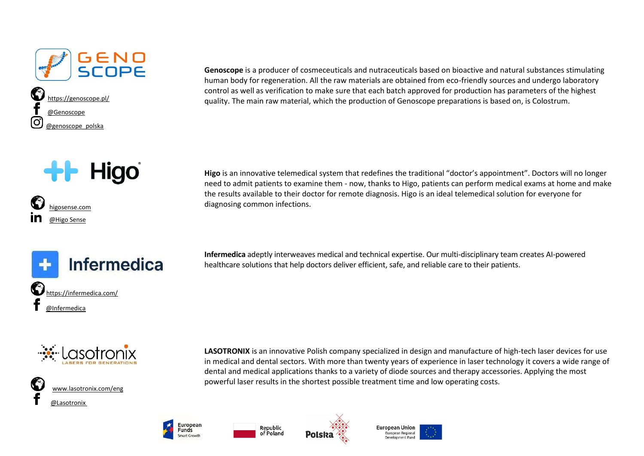

**Higo** 

**Infermedica** 

 [higosense.com](http://higosense.com/) [@Higo Sense](https://www.linkedin.com/company/higo-sense/) 

**Genoscope** is a producer of cosmeceuticals and nutraceuticals based on bioactive and natural substances stimulating human body for regeneration. All the raw materials are obtained from eco-friendly sources and undergo laboratory control as well as verification to make sure that each batch approved for production has parameters of the highest quality. The main raw material, which the production of Genoscope preparations is based on, is Colostrum.

**Higo** is an innovative telemedical system that redefines the traditional "doctor's appointment". Doctors will no longer need to admit patients to examine them - now, thanks to Higo, patients can perform medical exams at home and make the results available to their doctor for remote diagnosis. Higo is an ideal telemedical solution for everyone for diagnosing common infections.

**Infermedica** adeptly interweaves medical and technical expertise. Our multi-disciplinary team creates AI-powered healthcare solutions that help doctors deliver efficient, safe, and reliable care to their patients.



<https://infermedica.com/>

 [@Infermedica](https://www.facebook.com/Infermedica)



**LASOTRONIX** is an innovative Polish company specialized in design and manufacture of high-tech laser devices for use in medical and dental sectors. With more than twenty years of experience in laser technology it covers a wide range of dental and medical applications thanks to a variety of diode sources and therapy accessories. Applying the most powerful laser results in the shortest possible treatment time and low operating costs.







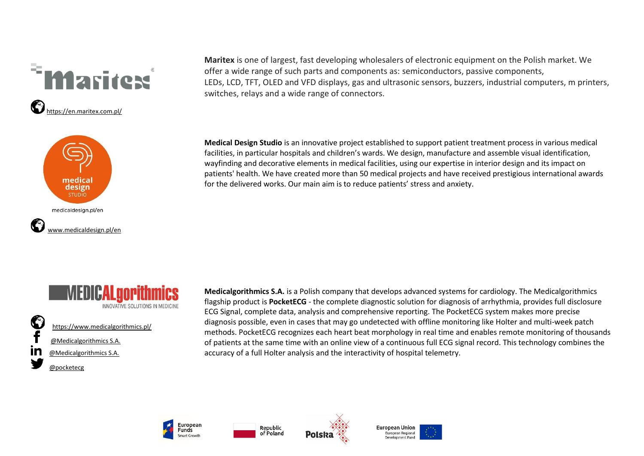



**Maritex** is one of largest, fast developing wholesalers of electronic equipment on the Polish market. We offer a wide range of such parts and components as: semiconductors, passive components, LEDs, LCD, TFT, OLED and VFD displays, gas and ultrasonic sensors, buzzers, industrial computers, m printers, switches, relays and a wide range of connectors.

**Medical Design Studio** is an innovative project established to support patient treatment process in various medical facilities, in particular hospitals and children's wards. We design, manufacture and assemble visual identification, wayfinding and decorative elements in medical facilities, using our expertise in interior design and its impact on patients' health. We have created more than 50 medical projects and have received prestigious international awards for the delivered works. Our main aim is to reduce patients' stress and anxiety.



 <https://www.medicalgorithmics.pl/> [@Medicalgorithmics S.A.](https://www.facebook.com/Medicalgorithmics-SA-330767166938722) [@Medicalgorithmics S.A.](https://www.linkedin.com/company/medicalgorithmics-sp.-z-o.o./) [@pocketecg](https://twitter.com/pocketecg)

**Medicalgorithmics S.A.** is a Polish company that develops advanced systems for cardiology. The Medicalgorithmics flagship product is **PocketECG** - the complete diagnostic solution for diagnosis of arrhythmia, provides full disclosure ECG Signal, complete data, analysis and comprehensive reporting. The PocketECG system makes more precise diagnosis possible, even in cases that may go undetected with offline monitoring like Holter and multi-week patch methods. PocketECG recognizes each heart beat morphology in real time and enables remote monitoring of thousands of patients at the same time with an online view of a continuous full ECG signal record. This technology combines the accuracy of a full Holter analysis and the interactivity of hospital telemetry.



Republic

of Poland



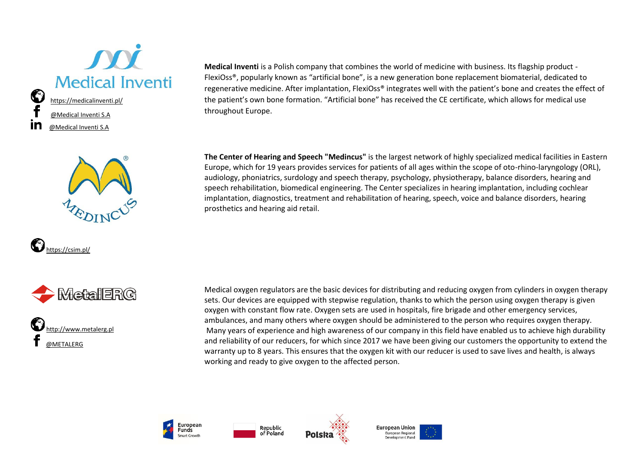









**Medical Inventi** is a Polish company that combines the world of medicine with business. Its flagship product - FlexiOss®, popularly known as "artificial bone", is a new generation bone replacement biomaterial, dedicated to regenerative medicine. After implantation, FlexiOss® integrates well with the patient's bone and creates the effect of the patient's own bone formation. "Artificial bone" has received the CE certificate, which allows for medical use throughout Europe.

**The Center of Hearing and Speech "Medincus"** is the largest network of highly specialized medical facilities in Eastern Europe, which for 19 years provides services for patients of all ages within the scope of oto-rhino-laryngology (ORL), audiology, phoniatrics, surdology and speech therapy, psychology, physiotherapy, balance disorders, hearing and speech rehabilitation, biomedical engineering. The Center specializes in hearing implantation, including cochlear implantation, diagnostics, treatment and rehabilitation of hearing, speech, voice and balance disorders, hearing prosthetics and hearing aid retail.

Medical oxygen regulators are the basic devices for distributing and reducing oxygen from cylinders in oxygen therapy sets. Our devices are equipped with stepwise regulation, thanks to which the person using oxygen therapy is given oxygen with constant flow rate. Oxygen sets are used in hospitals, fire brigade and other emergency services, ambulances, and many others where oxygen should be administered to the person who requires oxygen therapy. Many years of experience and high awareness of our company in this field have enabled us to achieve high durability and reliability of our reducers, for which since 2017 we have been giving our customers the opportunity to extend the warranty up to 8 years. This ensures that the oxygen kit with our reducer is used to save lives and health, is always working and ready to give oxygen to the affected person.







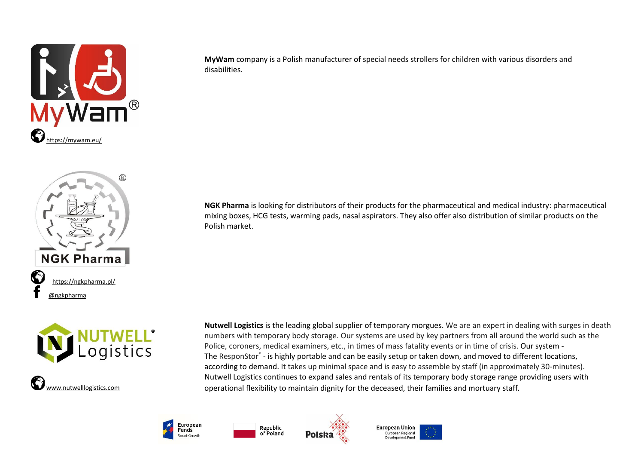

**MyWam** company is a Polish manufacturer of special needs strollers for children with various disorders and disabilities.



ogistics



**Nutwell Logistics** is the leading global supplier of temporary morgues. We are an expert in dealing with surges in death numbers with temporary body storage. Our systems are used by key partners from all around the world such as the Police, coroners, medical examiners, etc., in times of mass fatality events or in time of crisis. Our system - The ResponStor<sup>®</sup> - is highly portable and can be easily setup or taken down, and moved to different locations, according to demand. It takes up minimal space and is easy to assemble by staff (in approximately 30-minutes). Nutwell Logistics continues to expand sales and rentals of its temporary body storage range providing users with operational flexibility to maintain dignity for the deceased, their families and mortuary staff*.* 

**NGK Pharma** is looking for distributors of their products for the pharmaceutical and medical industry: pharmaceutical mixing boxes, HCG tests, warming pads, nasal aspirators. They also offer also distribution of similar products on the





Polish market.



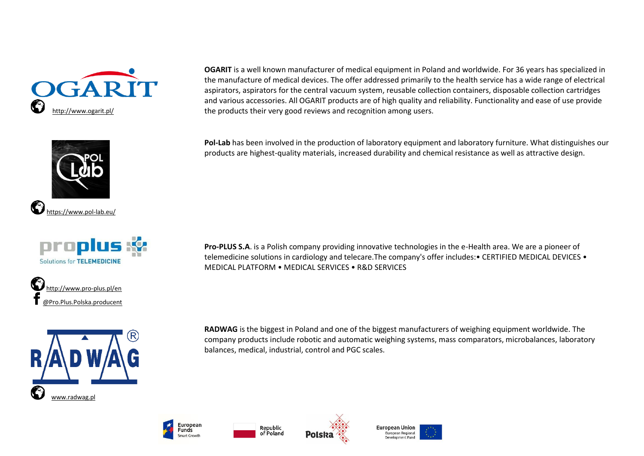









**OGARIT** is a well known manufacturer of medical equipment in Poland and worldwide. For 36 years has specialized in the manufacture of medical devices. The offer addressed primarily to the health service has a wide range of electrical aspirators, aspirators for the central vacuum system, reusable collection containers, disposable collection cartridges and various accessories. All OGARIT products are of high quality and reliability. Functionality and ease of use provide the products their very good reviews and recognition among users.

**Pol-Lab** has been involved in the production of laboratory equipment and laboratory furniture. What distinguishes our products are highest-quality materials, increased durability and chemical resistance as well as attractive design.

**Pro-PLUS S.A**. is a Polish company providing innovative technologies in the e-Health area. We are a pioneer of telemedicine solutions in cardiology and telecare.The company's offer includes:• CERTIFIED MEDICAL DEVICES • MEDICAL PLATFORM • MEDICAL SERVICES • R&D SERVICES

**RADWAG** is the biggest in Poland and one of the biggest manufacturers of weighing equipment worldwide. The company products include robotic and automatic weighing systems, mass comparators, microbalances, laboratory balances, medical, industrial, control and PGC scales.







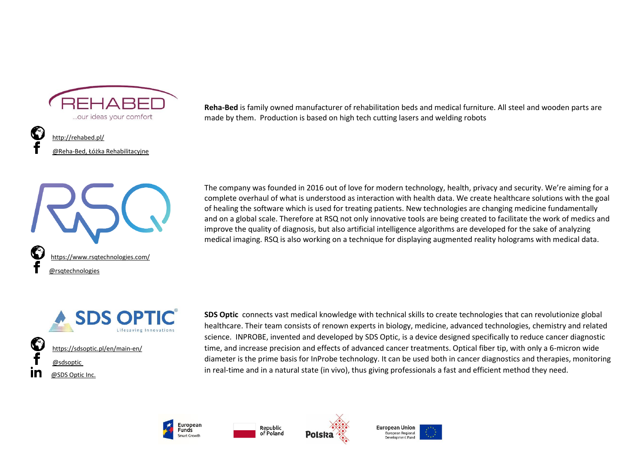

 <http://rehabed.pl/> @Reha-[Bed, Łóżka Rehabilitacyjne](https://www.facebook.com/Reha-Bed-%C5%81%C3%B3%C5%BCka-Rehabilitacyjne-1842053602750713/)



**Reha-Bed** is family owned manufacturer of rehabilitation beds and medical furniture. All steel and wooden parts are made by them. Production is based on high tech cutting lasers and welding robots

The company was founded in 2016 out of love for modern technology, health, privacy and security. We're aiming for a complete overhaul of what is understood as interaction with health data. We create healthcare solutions with the goal of healing the software which is used for treating patients. New technologies are changing medicine fundamentally and on a global scale. Therefore at RSQ not only innovative tools are being created to facilitate the work of medics and improve the quality of diagnosis, but also artificial intelligence algorithms are developed for the sake of analyzing medical imaging. RSQ is also working on a technique for displaying augmented reality holograms with medical data.



**SDS Optic** connects vast medical knowledge with technical skills to create technologies that can revolutionize global healthcare. Their team consists of renown experts in biology, medicine, advanced technologies, chemistry and related science. INPROBE, invented and developed by SDS Optic, is a device designed specifically to reduce cancer diagnostic time, and increase precision and effects of advanced cancer treatments. Optical fiber tip, with only a 6-micron wide diameter is the prime basis for InProbe technology. It can be used both in cancer diagnostics and therapies, monitoring in real-time and in a natural state (in vivo), thus giving professionals a fast and efficient method they need.







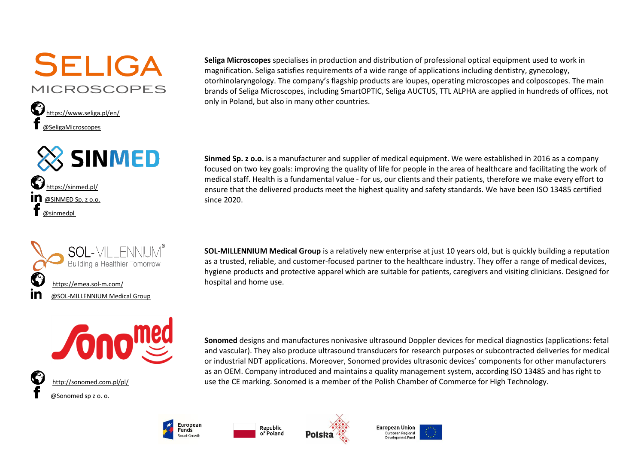## **SELIGA MICROSCOPES**









 <http://sonomed.com.pl/pl/> [@Sonomed sp z](https://www.facebook.com/Sonomed-sp-z-o-o-110060212486366/) o. o.

**Seliga Microscopes** specialises in production and distribution of professional optical equipment used to work in magnification. Seliga satisfies requirements of a wide range of applications including dentistry, gynecology, otorhinolaryngology. The company's flagship products are loupes, operating microscopes and colposcopes. The main brands of Seliga Microscopes, including SmartOPTIC, Seliga AUCTUS, TTL ALPHA are applied in hundreds of offices, not only in Poland, but also in many other countries.

**Sinmed Sp. z o.o.** is a manufacturer and supplier of medical equipment. We were established in 2016 as a company focused on two key goals: improving the quality of life for people in the area of healthcare and facilitating the work of medical staff. Health is a fundamental value - for us, our clients and their patients, therefore we make every effort to ensure that the delivered products meet the highest quality and safety standards. We have been ISO 13485 certified since 2020.

**SOL-MILLENNIUM Medical Group** is a relatively new enterprise at just 10 years old, but is quickly building a reputation as a trusted, reliable, and customer-focused partner to the healthcare industry. They offer a range of medical devices, hygiene products and protective apparel which are suitable for patients, caregivers and visiting clinicians. Designed for hospital and home use.

**Sonomed** designs and manufactures nonivasive ultrasound Doppler devices for medical diagnostics (applications: fetal and vascular). They also produce ultrasound transducers for research purposes or subcontracted deliveries for medical or industrial NDT applications. Moreover, Sonomed provides ultrasonic devices' components for other manufacturers as an OEM. Company introduced and maintains a quality management system, according ISO 13485 and has right to use the CE marking. Sonomed is a member of the Polish Chamber of Commerce for High Technology.







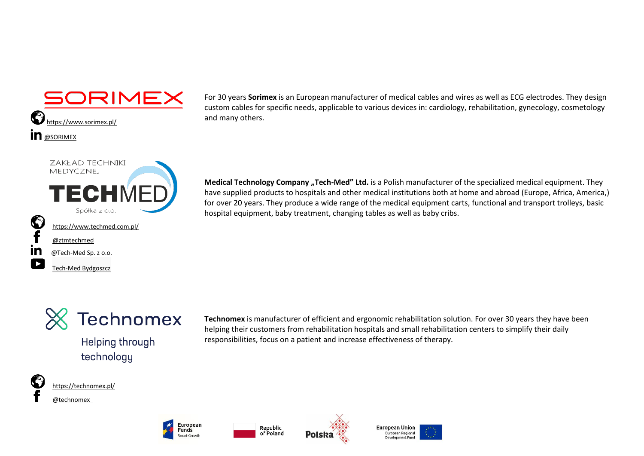



For 30 years **Sorimex** is an European manufacturer of medical cables and wires as well as ECG electrodes. They design custom cables for specific needs, applicable to various devices in: cardiology, rehabilitation, gynecology, cosmetology and many others.

**Medical Technology Company "Tech-Med" Ltd.** is a Polish manufacturer of the specialized medical equipment. They have supplied products to hospitals and other medical institutions both at home and abroad (Europe, Africa, America,) for over 20 years. They produce a wide range of the medical equipment carts, functional and transport trolleys, basic hospital equipment, baby treatment, changing tables as well as baby cribs.



**Helping through** technology

**Technomex** is manufacturer of efficient and ergonomic rehabilitation solution. For over 30 years they have been helping their customers from rehabilitation hospitals and small rehabilitation centers to simplify their daily responsibilities, focus on a patient and increase effectiveness of therapy.



<https://technomex.pl/>

[Tech-Med Bydgoszcz](https://www.youtube.com/channel/UCBWorFyfDO5HcXC2Ckc_OOA)

[@technomex](https://www.facebook.com/technomex)







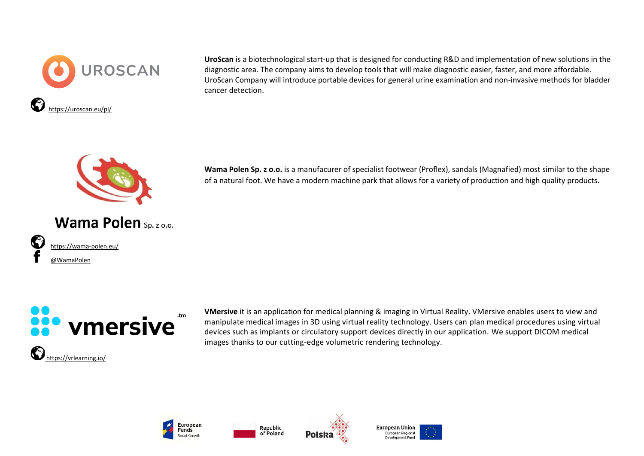

**UroScan** is a biotechnological start-up that is designed for conducting R&D and implementation of new solutions in the diagnostic area. The company aims to develop tools that will make diagnostic easier, faster, and more affordable. UroScan Company will introduce portable devices for general urine examination and non-invasive methods for bladder cancer detection.

**Wama Polen Sp. z o.o.** is a manufacurer of specialist footwear (Proflex), sandals (Magnafied) most similar to the shape of a natural foot. We have a modern machine park that allows for a variety of production and high quality products.



Wama Polen Sp. z o.o.

 <https://wama-polen.eu/> [@WamaPolen](https://www.facebook.com/WamaPolen/?ref=page_internal)



**VMersive** it is an application for medical planning & imaging in Virtual Reality. VMersive enables users to view and manipulate medical images in 3D using virtual reality technology. Users can plan medical procedures using virtual devices such as implants or circulatory support devices directly in our application. We support DICOM medical images thanks to our cutting-edge volumetric rendering technology.